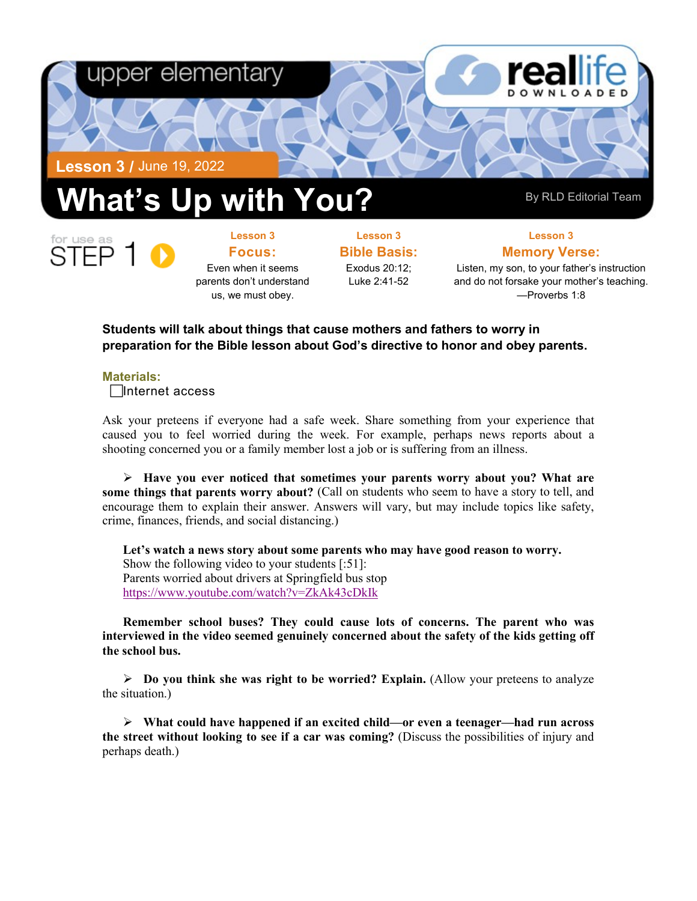



**Lesson 3 Focus:**  Even when it seems parents don't understand us, we must obey.

**Lesson 3 Bible Basis:** Exodus 20:12; Luke 2:41-52

**Lesson 3 Memory Verse:** Listen, my son, to your father's instruction

and do not forsake your mother's teaching. —Proverbs 1:8

## **Students will talk about things that cause mothers and fathers to worry in preparation for the Bible lesson about God's directive to honor and obey parents.**

## **Materials:**

Internet access

Ask your preteens if everyone had a safe week. Share something from your experience that caused you to feel worried during the week. For example, perhaps news reports about a shooting concerned you or a family member lost a job or is suffering from an illness.

 **Have you ever noticed that sometimes your parents worry about you? What are some things that parents worry about?** (Call on students who seem to have a story to tell, and encourage them to explain their answer. Answers will vary, but may include topics like safety, crime, finances, friends, and social distancing.)

**Let's watch a news story about some parents who may have good reason to worry.** Show the following video to your students [:51]: Parents worried about drivers at Springfield bus stop <https://www.youtube.com/watch?v=ZkAk43cDkIk>

**Remember school buses? They could cause lots of concerns. The parent who was interviewed in the video seemed genuinely concerned about the safety of the kids getting off the school bus.**

 $\triangleright$  **Do you think she was right to be worried? Explain.** (Allow your preteens to analyze the situation.)

 **What could have happened if an excited child—or even a teenager—had run across the street without looking to see if a car was coming?** (Discuss the possibilities of injury and perhaps death.)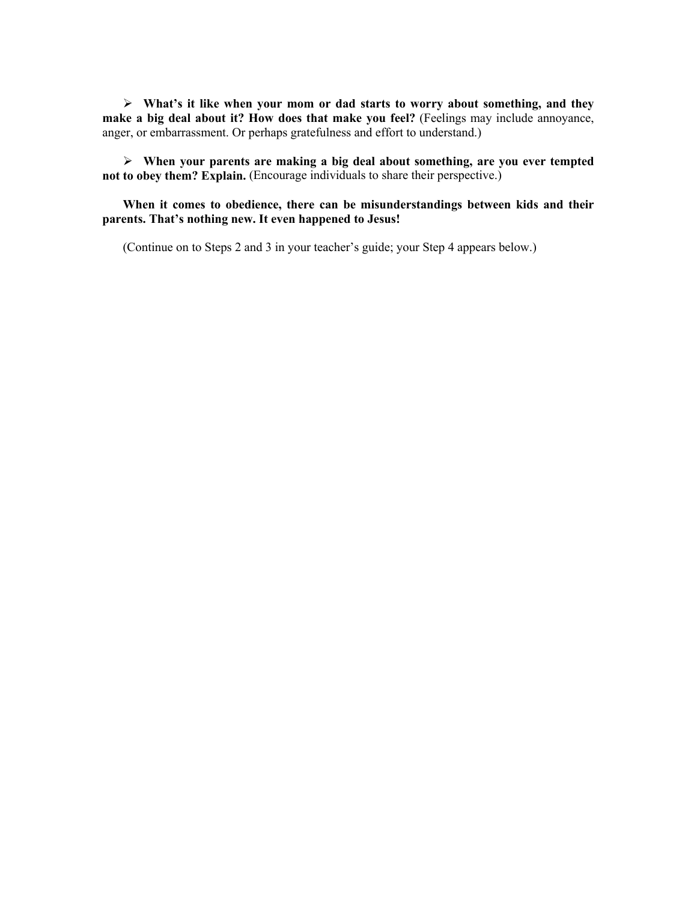**What's it like when your mom or dad starts to worry about something, and they make a big deal about it? How does that make you feel?** (Feelings may include annoyance, anger, or embarrassment. Or perhaps gratefulness and effort to understand.)

 **When your parents are making a big deal about something, are you ever tempted not to obey them? Explain.** (Encourage individuals to share their perspective.)

**When it comes to obedience, there can be misunderstandings between kids and their parents. That's nothing new. It even happened to Jesus!**

(Continue on to Steps 2 and 3 in your teacher's guide; your Step 4 appears below.)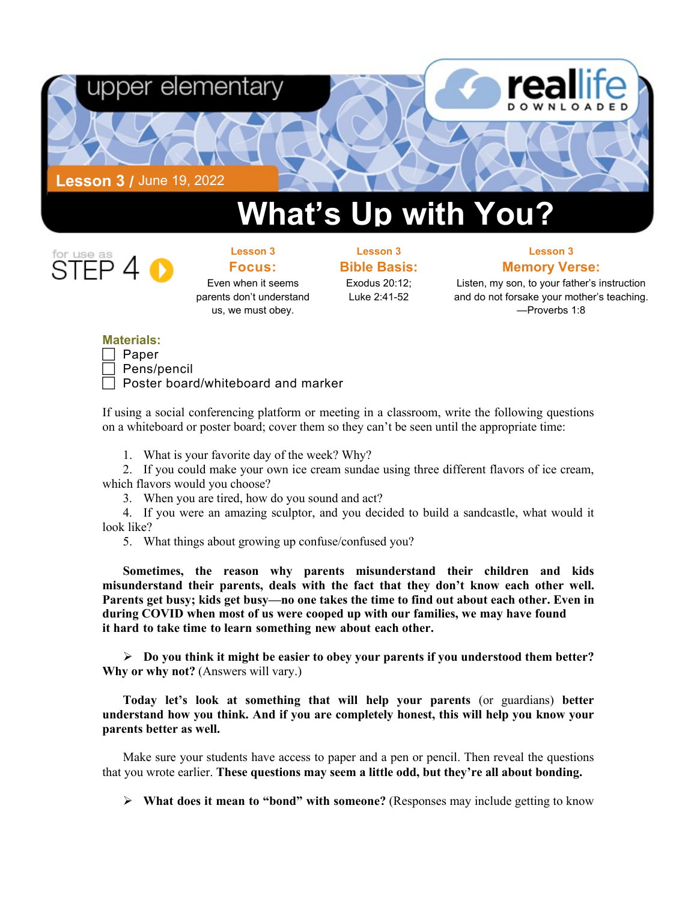

## **What's Up with You?**



**Lesson 3 Focus:**  Even when it seems parents don't understand us, we must obey.

**Lesson 3 Bible Basis:**

Exodus 20:12; Luke 2:41-52

**Lesson 3 Memory Verse:**

Listen, my son, to your father's instruction and do not forsake your mother's teaching. —Proverbs 1:8

## **Materials:**

| ⊌aper           |
|-----------------|
| /r<br>ane/<br>◡ |

Pens/pencil

Poster board/whiteboard and marker

If using a social conferencing platform or meeting in a classroom, write the following questions on a whiteboard or poster board; cover them so they can't be seen until the appropriate time:

1. What is your favorite day of the week? Why?

2. If you could make your own ice cream sundae using three different flavors of ice cream, which flavors would you choose?

3. When you are tired, how do you sound and act?

4. If you were an amazing sculptor, and you decided to build a sandcastle, what would it look like?

5. What things about growing up confuse/confused you?

**Sometimes, the reason why parents misunderstand their children and kids misunderstand their parents, deals with the fact that they don't know each other well. Parents get busy; kids get busy—no one takes the time to find out about each other. Even in during COVID when most of us were cooped up with our families, we may have found it hard to take time to learn something new about each other.**

 **Do you think it might be easier to obey your parents if you understood them better? Why or why not?** (Answers will vary.)

**Today let's look at something that will help your parents** (or guardians) **better understand how you think. And if you are completely honest, this will help you know your parents better as well.**

Make sure your students have access to paper and a pen or pencil. Then reveal the questions that you wrote earlier. **These questions may seem a little odd, but they're all about bonding.**

**What does it mean to "bond" with someone?** (Responses may include getting to know